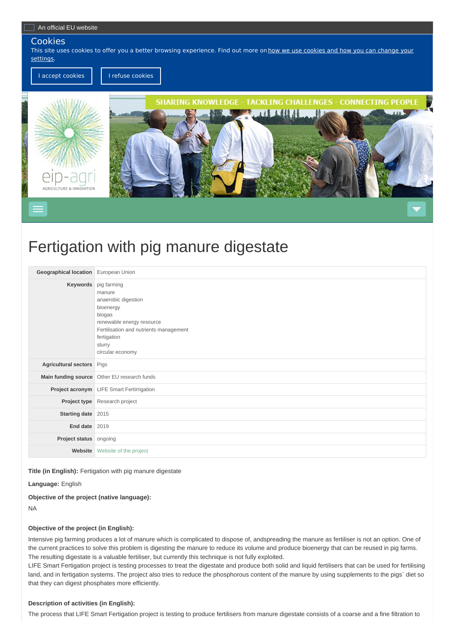## Cookies

This site uses cookies to offer you a better browsing [experience.](https://ec.europa.eu/info/cookies_en) Find out more on how we use cookies and how you can change your settings.

I accept [cookies](javascript:euCookieConsent.refuse()) | | I refuse cookies



# Fertigation with pig manure digestate

| Geographical location European Union |                                                                                                                                                                                                  |
|--------------------------------------|--------------------------------------------------------------------------------------------------------------------------------------------------------------------------------------------------|
|                                      | Keywords pig farming<br>manure<br>anaerobic digestion<br>bioenergy<br>biogas<br>renewable energy resource<br>Fertilisation and nutrients management<br>fertigation<br>slurry<br>circular economy |
| Agricultural sectors Pigs            |                                                                                                                                                                                                  |
|                                      | Main funding source Other EU research funds                                                                                                                                                      |
|                                      | Project acronym LIFE Smart Fertirrigation                                                                                                                                                        |
|                                      | Project type Research project                                                                                                                                                                    |
| Starting date 2015                   |                                                                                                                                                                                                  |
| End date                             | 2019                                                                                                                                                                                             |
| Project status ongoing               |                                                                                                                                                                                                  |
| Website                              | Website of the project                                                                                                                                                                           |

#### **Title (in English):** Fertigation with pig manure digestate

### **Language:** English

**Objective of the project (native language):**

NA

## **Objective of the project (in English):**

Intensive pig farming produces a lot of manure which is complicated to dispose of, andspreading the manure as fertiliser is not an option. One of the current practices to solve this problem is digesting the manure to reduce its volume and produce bioenergy that can be reused in pig farms. The resulting digestate is a valuable fertiliser, but currently this technique is not fully exploited.

LIFE Smart Fertigation project is testing processes to treat the digestate and produce both solid and liquid fertilisers that can be used for fertilising land, and in fertigation systems. The project also tries to reduce the phosphorous content of the manure by using supplements to the pigs` diet so that they can digest phosphates more efficiently.

## **Description of activities (in English):**

The process that LIFE Smart Fertigation project is testing to produce fertilisers from manure digestate consists of a coarse and a fine filtration to